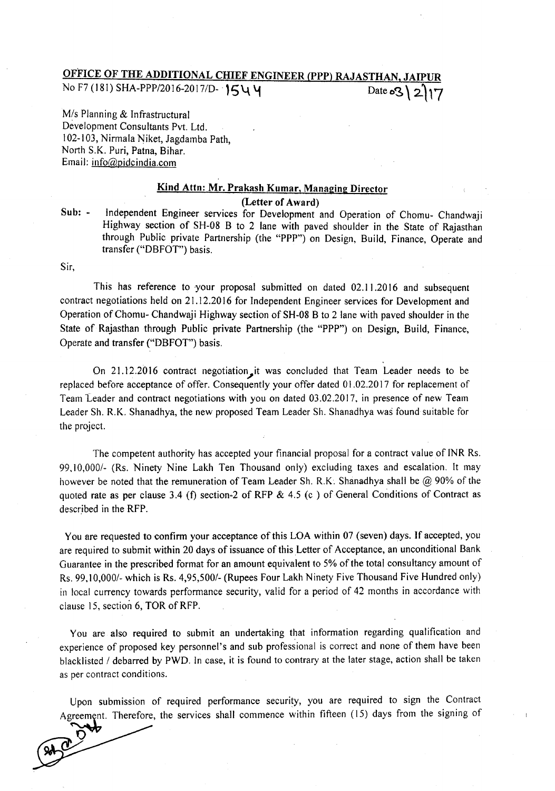## OFFICE OF THE ADDITIONAL CHIEF ENGINEER (PPP) RAJASTHAN, No F7 (181) SHA-PPP/2016-2017/D-  $1544$  Date os 2\2\17

*Mis* Planning & Infrastructural Development Consultants Pvt. Ltd. 102-I03, Nirmala Niket, Jagdamba Path, North S.K. Puri, Patna, Bihar. Email: info@pidcindia.com

## Kind Attn: Mr. Prakash Kumar, Managing Director (Letter of Award)

Sub: - Independent Engineer services for Development and Operation of Chomu- Chandwaji Highway section of SH-08 B to 2 lane with paved shoulder in the State of Rajasthan through Public private Partnership (the "PPP") on Design, Build, Finance, Operate and transfer ("DBFOT") basis.

Sir,

 $\mathbf{\breve{O}}$ 

This has reference to your proposal submitted on dated 02.11.2016 and subsequent contract negotiations held on 21.12.2016 for Independent Engineer services for Development and Operation of Chomu- Chandwaji Highway section of SH-08 B to 2 lane with paved shoulder in the State of Rajasthan through Public private Partnership (the "PPP") on Design, Build, Finance, Operate and transfer ("DBFOT") basis.

On 21.12.2016 contract negotiation it was concluded that Team Leader needs to be replaced before acceptance of offer. Consequently your offer dated 01.02.2017 for replacement of Team Leader and contract negotiations with you on dated 03.02.20 17, in presence of new Team Leader Sh. R.K. Shanadhya, the new proposed Team Leader Sh. Shanadhya was found suitable for the project.

The competent authority has accepted your financial proposal for a contract value of INR Rs. *99.10,0001-* (Rs. Ninety Nine Lakh Ten Thousand only) excluding taxes and escalation. It may however be noted that the remuneration of Team Leader Sh. R.K. Shanadhya shall be @ 90% of the quoted rate as per clause 3.4 (f) section-2 of RFP  $\&$  4.5 (c) of General Conditions of Contract as described in the RFP.

You are requested to confirm your acceptance of this LOA within 07 (seven) days. If accepted, you are required to submit within 20 days of issuance of this Letter of Acceptance, an unconditional Bank Guarantee in the prescribed format for an amount equivalent to 5% of the total consultancy amount of Rs. 99, I*0,0001-* which is Rs. *4,95,5001-* (Rupees Four Lakh Ninety Five Thousand Five Hundred only) in local currency towards performance security, valid for a period of 42 months in accordance with clause 15, section 6,TOR of RFP.

You are also required to submit an undertaking that information regarding qualification and experience of proposed key personnel's and sub professional is correct and none of them have been blacklisted *1* debarred by PWD. In case, it is found to contrary at the later stage, action shall be taken as per contract conditions.

Upon submission of required performance security, you are required to sign the Contract Agreement. Therefore, the services shall commence within fifteen (15) days from the signing of